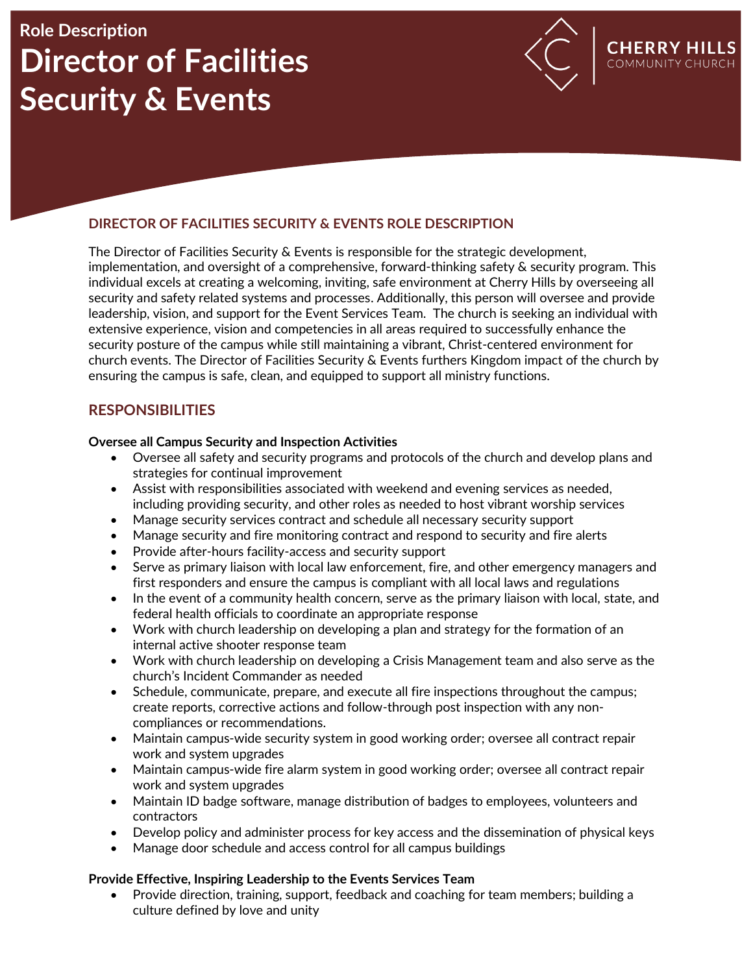# **Role Description Director of Facilities Security & Events**



**CHERRY HILLS** 

### **DIRECTOR OF FACILITIES SECURITY & EVENTS ROLE DESCRIPTION**

The Director of Facilities Security & Events is responsible for the strategic development, implementation, and oversight of a comprehensive, forward-thinking safety & security program. This individual excels at creating a welcoming, inviting, safe environment at Cherry Hills by overseeing all security and safety related systems and processes. Additionally, this person will oversee and provide leadership, vision, and support for the Event Services Team. The church is seeking an individual with extensive experience, vision and competencies in all areas required to successfully enhance the security posture of the campus while still maintaining a vibrant, Christ-centered environment for church events. The Director of Facilities Security & Events furthers Kingdom impact of the church by ensuring the campus is safe, clean, and equipped to support all ministry functions.

# **RESPONSIBILITIES**

#### **Oversee all Campus Security and Inspection Activities**

- Oversee all safety and security programs and protocols of the church and develop plans and strategies for continual improvement
- Assist with responsibilities associated with weekend and evening services as needed, including providing security, and other roles as needed to host vibrant worship services
- Manage security services contract and schedule all necessary security support
- Manage security and fire monitoring contract and respond to security and fire alerts
- Provide after-hours facility-access and security support
- Serve as primary liaison with local law enforcement, fire, and other emergency managers and first responders and ensure the campus is compliant with all local laws and regulations
- In the event of a community health concern, serve as the primary liaison with local, state, and federal health officials to coordinate an appropriate response
- Work with church leadership on developing a plan and strategy for the formation of an internal active shooter response team
- Work with church leadership on developing a Crisis Management team and also serve as the church's Incident Commander as needed
- Schedule, communicate, prepare, and execute all fire inspections throughout the campus; create reports, corrective actions and follow-through post inspection with any noncompliances or recommendations.
- Maintain campus-wide security system in good working order; oversee all contract repair work and system upgrades
- Maintain campus-wide fire alarm system in good working order; oversee all contract repair work and system upgrades
- Maintain ID badge software, manage distribution of badges to employees, volunteers and contractors
- Develop policy and administer process for key access and the dissemination of physical keys
- Manage door schedule and access control for all campus buildings

#### **Provide Effective, Inspiring Leadership to the Events Services Team**

• Provide direction, training, support, feedback and coaching for team members; building a culture defined by love and unity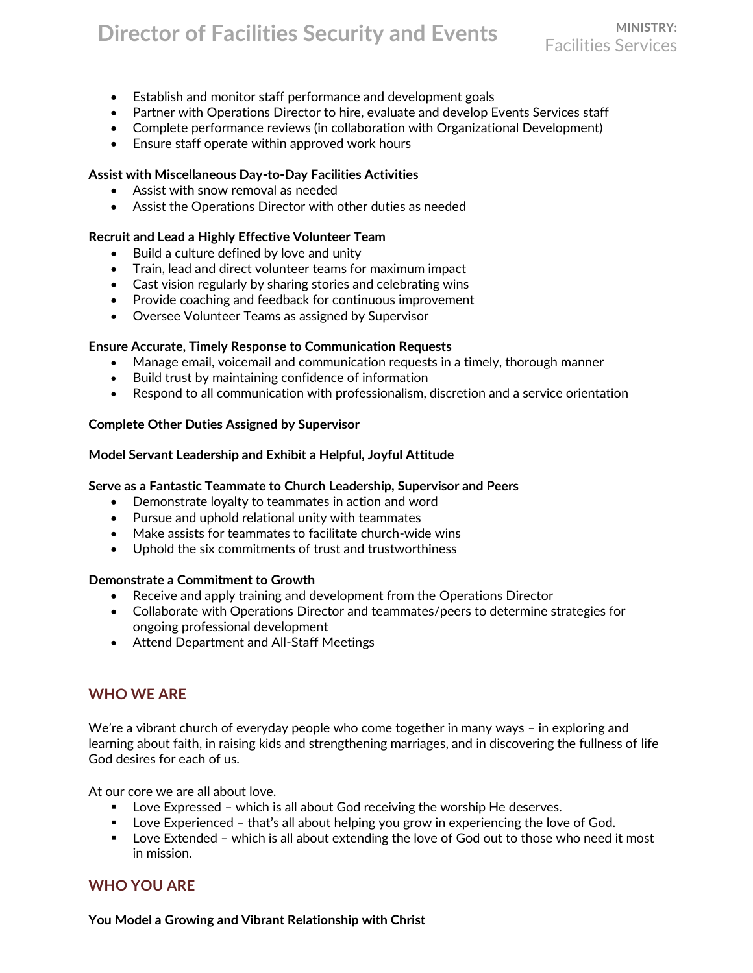# **Director of Facilities Security and Events**

- Establish and monitor staff performance and development goals
- Partner with Operations Director to hire, evaluate and develop Events Services staff
- Complete performance reviews (in collaboration with Organizational Development)
- Ensure staff operate within approved work hours

#### **Assist with Miscellaneous Day-to-Day Facilities Activities**

- Assist with snow removal as needed
- Assist the Operations Director with other duties as needed

#### **Recruit and Lead a Highly Effective Volunteer Team**

- Build a culture defined by love and unity
- Train, lead and direct volunteer teams for maximum impact
- Cast vision regularly by sharing stories and celebrating wins
- Provide coaching and feedback for continuous improvement
- Oversee Volunteer Teams as assigned by Supervisor

#### **Ensure Accurate, Timely Response to Communication Requests**

- Manage email, voicemail and communication requests in a timely, thorough manner
- Build trust by maintaining confidence of information
- Respond to all communication with professionalism, discretion and a service orientation

#### **Complete Other Duties Assigned by Supervisor**

#### **Model Servant Leadership and Exhibit a Helpful, Joyful Attitude**

#### **Serve as a Fantastic Teammate to Church Leadership, Supervisor and Peers**

- Demonstrate loyalty to teammates in action and word
- Pursue and uphold relational unity with teammates
- Make assists for teammates to facilitate church-wide wins
- Uphold the six commitments of trust and trustworthiness

#### **Demonstrate a Commitment to Growth**

- Receive and apply training and development from the Operations Director
- Collaborate with Operations Director and teammates/peers to determine strategies for ongoing professional development
- Attend Department and All-Staff Meetings

### **WHO WE ARE**

We're a vibrant church of everyday people who come together in many ways – in exploring and learning about faith, in raising kids and strengthening marriages, and in discovering the fullness of life God desires for each of us.

At our core we are all about love.

- Love Expressed which is all about God receiving the worship He deserves.
- Love Experienced that's all about helping you grow in experiencing the love of God.
- Love Extended which is all about extending the love of God out to those who need it most in mission.

### **WHO YOU ARE**

**You Model a Growing and Vibrant Relationship with Christ**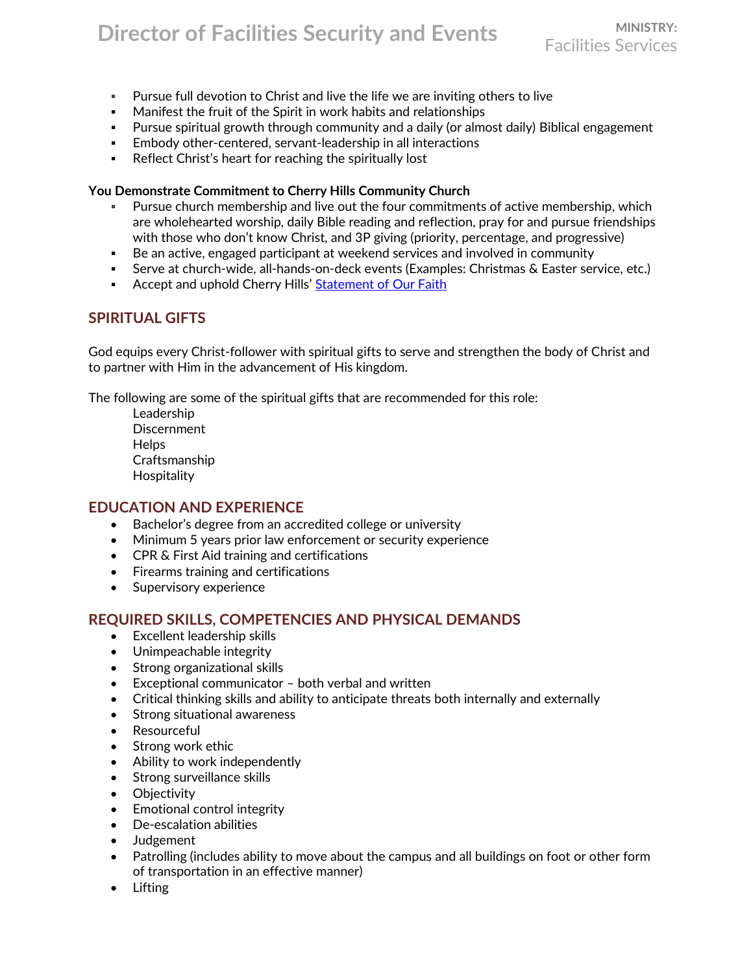# **Director of Facilities Security and Events**

Facilities Services

- Pursue full devotion to Christ and live the life we are inviting others to live
- Manifest the fruit of the Spirit in work habits and relationships
- **•** Pursue spiritual growth through community and a daily (or almost daily) Biblical engagement
- **Embody other-centered, servant-leadership in all interactions**
- Reflect Christ's heart for reaching the spiritually lost

#### **You Demonstrate Commitment to Cherry Hills Community Church**

- Pursue church membership and live out the four commitments of active membership, which are wholehearted worship, daily Bible reading and reflection, pray for and pursue friendships with those who don't know Christ, and 3P giving (priority, percentage, and progressive)
- Be an active, engaged participant at weekend services and involved in community
- **EXECT:** Serve at church-wide, all-hands-on-deck events (Examples: Christmas & Easter service, etc.)
- **EXECT** Accept and uphold Cherry Hills' [Statement of Our Faith](https://chcc.org/wp-content/uploads/2018/03/StatementOfFaith_0318_FINAL.pdf)

# **SPIRITUAL GIFTS**

God equips every Christ-follower with spiritual gifts to serve and strengthen the body of Christ and to partner with Him in the advancement of His kingdom.

The following are some of the spiritual gifts that are recommended for this role:

Leadership **Discernment Helps** Craftsmanship **Hospitality** 

#### **EDUCATION AND EXPERIENCE**

- Bachelor's degree from an accredited college or university
- Minimum 5 years prior law enforcement or security experience
- CPR & First Aid training and certifications
- Firearms training and certifications
- Supervisory experience

#### **REQUIRED SKILLS, COMPETENCIES AND PHYSICAL DEMANDS**

- Excellent leadership skills
- Unimpeachable integrity
- Strong organizational skills
- Exceptional communicator both verbal and written
- Critical thinking skills and ability to anticipate threats both internally and externally
- Strong situational awareness
- Resourceful
- Strong work ethic
- Ability to work independently
- Strong surveillance skills
- Objectivity
- Emotional control integrity
- De-escalation abilities
- Judgement
- Patrolling (includes ability to move about the campus and all buildings on foot or other form of transportation in an effective manner)
- Lifting